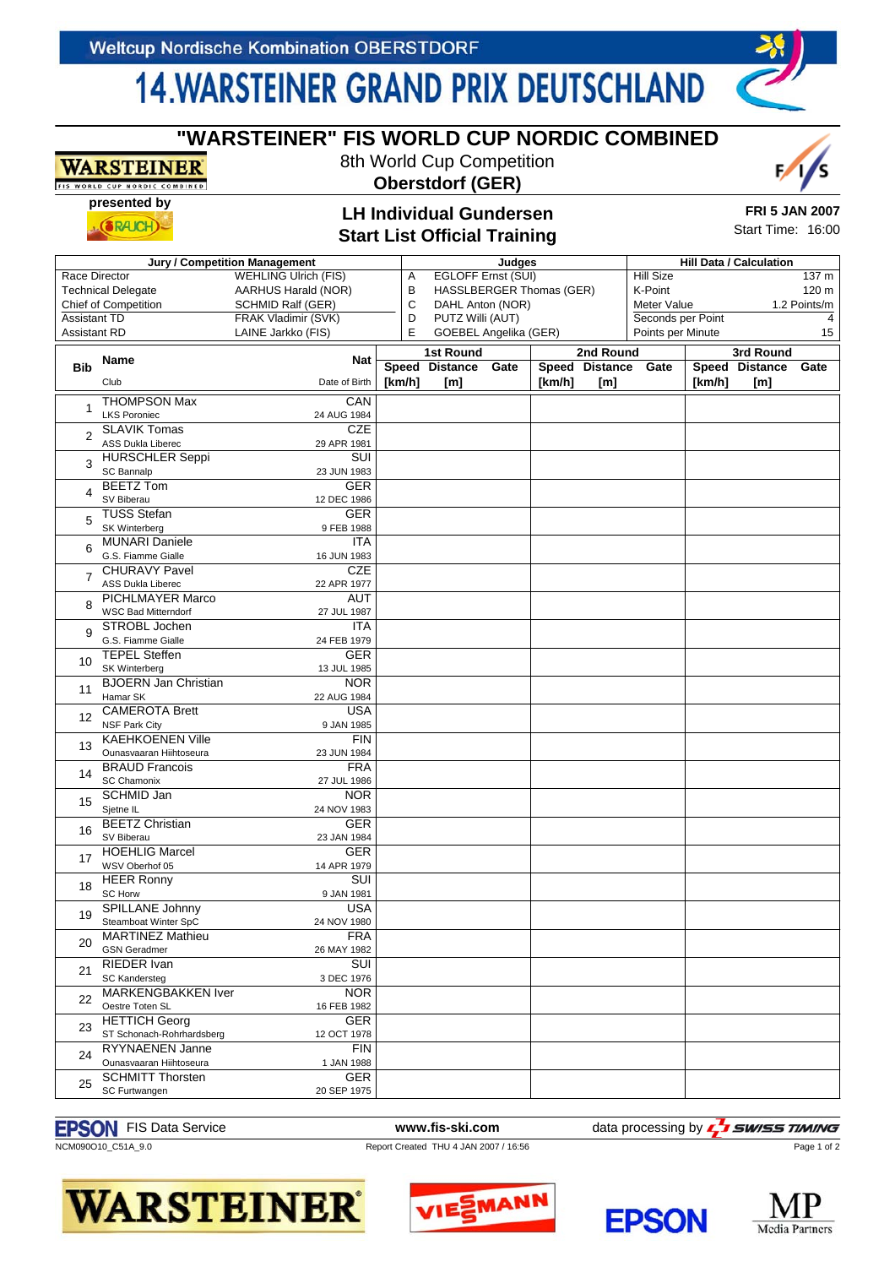## **14. WARSTEINER GRAND PRIX DEUTSCHLAND**

# **"WARSTEINER" FIS WORLD CUP NORDIC COMBINED**

ORLD CUP NORDIC COMBINED **presented by**

**WARSTEINER** 

**Oberstdorf (GER)**

8th World Cup Competition

 $(RAICH)$ 

#### **LH Individual Gundersen Start List Official Training**

| <b>FRI 5 JAN 2007</b> |  |
|-----------------------|--|
| Start Time: 16:00     |  |

|                                              |                             |                          |                    |                               | Judges                         |                  |                   |                   |        |                |       |
|----------------------------------------------|-----------------------------|--------------------------|--------------------|-------------------------------|--------------------------------|------------------|-------------------|-------------------|--------|----------------|-------|
| Jury / Competition Management                |                             |                          |                    |                               | <b>Hill Data / Calculation</b> |                  |                   |                   |        |                |       |
| Race Director<br><b>WEHLING Ulrich (FIS)</b> |                             | Α                        | EGLOFF Ernst (SUI) |                               |                                | <b>Hill Size</b> |                   |                   | 137 m  |                |       |
| <b>Technical Delegate</b>                    |                             | AARHUS Harald (NOR)      |                    | В<br>HASSLBERGER Thomas (GER) |                                |                  |                   | K-Point           |        |                | 120 m |
| <b>Chief of Competition</b>                  |                             | <b>SCHMID Ralf (GER)</b> | C                  |                               | DAHL Anton (NOR)               |                  |                   | Meter Value       |        | 1.2 Points/m   |       |
| FRAK Vladimir (SVK)<br><b>Assistant TD</b>   |                             | D                        | PUTZ Willi (AUT)   |                               |                                |                  | Seconds per Point |                   |        | $\overline{4}$ |       |
| <b>Assistant RD</b>                          |                             | LAINE Jarkko (FIS)       | E                  | <b>GOEBEL Angelika (GER)</b>  |                                |                  |                   | Points per Minute |        |                | 15    |
|                                              |                             |                          |                    |                               |                                |                  |                   |                   |        |                |       |
|                                              | Name                        | Nat                      |                    | <b>1st Round</b>              |                                |                  | 2nd Round         |                   |        | 3rd Round      |       |
| <b>Bib</b>                                   |                             |                          |                    | Speed Distance                | Gate                           |                  | Speed Distance    | Gate              |        | Speed Distance | Gate  |
|                                              | Club                        | Date of Birth            | [km/h]             | [m]                           |                                | [km/h]           | [m]               |                   | [km/h] | [m]            |       |
|                                              | <b>THOMPSON Max</b>         | CAN                      |                    |                               |                                |                  |                   |                   |        |                |       |
| 1                                            | <b>LKS Poroniec</b>         | 24 AUG 1984              |                    |                               |                                |                  |                   |                   |        |                |       |
|                                              | <b>SLAVIK Tomas</b>         | <b>CZE</b>               |                    |                               |                                |                  |                   |                   |        |                |       |
| 2                                            | <b>ASS Dukla Liberec</b>    | 29 APR 1981              |                    |                               |                                |                  |                   |                   |        |                |       |
|                                              | <b>HURSCHLER Seppi</b>      | SUI                      |                    |                               |                                |                  |                   |                   |        |                |       |
| 3                                            | SC Bannalp                  | 23 JUN 1983              |                    |                               |                                |                  |                   |                   |        |                |       |
|                                              | <b>BEETZ</b> Tom            | <b>GER</b>               |                    |                               |                                |                  |                   |                   |        |                |       |
| 4                                            | SV Biberau                  | 12 DEC 1986              |                    |                               |                                |                  |                   |                   |        |                |       |
|                                              | <b>TUSS Stefan</b>          | <b>GER</b>               |                    |                               |                                |                  |                   |                   |        |                |       |
| 5                                            | <b>SK Winterberg</b>        | 9 FEB 1988               |                    |                               |                                |                  |                   |                   |        |                |       |
|                                              | <b>MUNARI Daniele</b>       | <b>ITA</b>               |                    |                               |                                |                  |                   |                   |        |                |       |
| 6                                            | G.S. Fiamme Gialle          | 16 JUN 1983              |                    |                               |                                |                  |                   |                   |        |                |       |
|                                              | <b>CHURAVY Pavel</b>        | <b>CZE</b>               |                    |                               |                                |                  |                   |                   |        |                |       |
| $\overline{7}$                               | ASS Dukla Liberec           | 22 APR 1977              |                    |                               |                                |                  |                   |                   |        |                |       |
|                                              | <b>PICHLMAYER Marco</b>     | AUT                      |                    |                               |                                |                  |                   |                   |        |                |       |
| 8                                            | <b>WSC Bad Mitterndorf</b>  | 27 JUL 1987              |                    |                               |                                |                  |                   |                   |        |                |       |
|                                              | STROBL Jochen               | <b>ITA</b>               |                    |                               |                                |                  |                   |                   |        |                |       |
| 9                                            | G.S. Fiamme Gialle          |                          |                    |                               |                                |                  |                   |                   |        |                |       |
|                                              |                             | 24 FEB 1979              |                    |                               |                                |                  |                   |                   |        |                |       |
| 10                                           | <b>TEPEL Steffen</b>        | <b>GER</b>               |                    |                               |                                |                  |                   |                   |        |                |       |
|                                              | SK Winterberg               | 13 JUL 1985              |                    |                               |                                |                  |                   |                   |        |                |       |
| 11                                           | <b>BJOERN Jan Christian</b> | <b>NOR</b>               |                    |                               |                                |                  |                   |                   |        |                |       |
|                                              | Hamar SK                    | 22 AUG 1984              |                    |                               |                                |                  |                   |                   |        |                |       |
| 12                                           | <b>CAMEROTA Brett</b>       | USA                      |                    |                               |                                |                  |                   |                   |        |                |       |
|                                              | <b>NSF Park City</b>        | 9 JAN 1985               |                    |                               |                                |                  |                   |                   |        |                |       |
| 13                                           | <b>KAEHKOENEN Ville</b>     | <b>FIN</b>               |                    |                               |                                |                  |                   |                   |        |                |       |
|                                              | Ounasvaaran Hiihtoseura     | 23 JUN 1984              |                    |                               |                                |                  |                   |                   |        |                |       |
| 14                                           | <b>BRAUD Francois</b>       | <b>FRA</b>               |                    |                               |                                |                  |                   |                   |        |                |       |
|                                              | SC Chamonix                 | 27 JUL 1986              |                    |                               |                                |                  |                   |                   |        |                |       |
| 15                                           | <b>SCHMID Jan</b>           | <b>NOR</b>               |                    |                               |                                |                  |                   |                   |        |                |       |
|                                              | Sjetne IL                   | 24 NOV 1983              |                    |                               |                                |                  |                   |                   |        |                |       |
| 16                                           | <b>BEETZ Christian</b>      | <b>GER</b>               |                    |                               |                                |                  |                   |                   |        |                |       |
|                                              | SV Biberau                  | 23 JAN 1984              |                    |                               |                                |                  |                   |                   |        |                |       |
| 17                                           | <b>HOEHLIG Marcel</b>       | <b>GER</b>               |                    |                               |                                |                  |                   |                   |        |                |       |
|                                              | WSV Oberhof 05              | 14 APR 1979              |                    |                               |                                |                  |                   |                   |        |                |       |
| 18                                           | <b>HEER Ronny</b>           | SUI                      |                    |                               |                                |                  |                   |                   |        |                |       |
|                                              | <b>SC Horw</b>              | 9 JAN 1981               |                    |                               |                                |                  |                   |                   |        |                |       |
| 19                                           | SPILLANE Johnny             | <b>USA</b>               |                    |                               |                                |                  |                   |                   |        |                |       |
|                                              | Steamboat Winter SpC        | 24 NOV 1980              |                    |                               |                                |                  |                   |                   |        |                |       |
| 20                                           | <b>MARTINEZ Mathieu</b>     | FRA                      |                    |                               |                                |                  |                   |                   |        |                |       |
|                                              | <b>GSN Geradmer</b>         | 26 MAY 1982              |                    |                               |                                |                  |                   |                   |        |                |       |
| 21                                           | RIEDER Ivan                 | SUI                      |                    |                               |                                |                  |                   |                   |        |                |       |
| 22                                           | SC Kandersteg               | 3 DEC 1976               |                    |                               |                                |                  |                   |                   |        |                |       |
|                                              | <b>MARKENGBAKKEN Iver</b>   | <b>NOR</b>               |                    |                               |                                |                  |                   |                   |        |                |       |
|                                              | Oestre Toten SL             | 16 FEB 1982              |                    |                               |                                |                  |                   |                   |        |                |       |
| 23                                           | <b>HETTICH Georg</b>        | <b>GER</b>               |                    |                               |                                |                  |                   |                   |        |                |       |
|                                              | ST Schonach-Rohrhardsberg   | 12 OCT 1978              |                    |                               |                                |                  |                   |                   |        |                |       |
| 24                                           | RYYNAENEN Janne             | <b>FIN</b>               |                    |                               |                                |                  |                   |                   |        |                |       |
|                                              | Ounasvaaran Hiihtoseura     | 1 JAN 1988               |                    |                               |                                |                  |                   |                   |        |                |       |
| 25                                           | <b>SCHMITT Thorsten</b>     | <b>GER</b>               |                    |                               |                                |                  |                   |                   |        |                |       |
|                                              | SC Furtwangen               | 20 SEP 1975              |                    |                               |                                |                  |                   |                   |        |                |       |

#### **EPSON** FIS Data Service **WWW.fis-ski.com** data processing by

NCM090O10\_C51A\_9.0 Report Created THU 4 JAN 2007 / 16:56

**I** SWISS TIMING Page 1 of 2